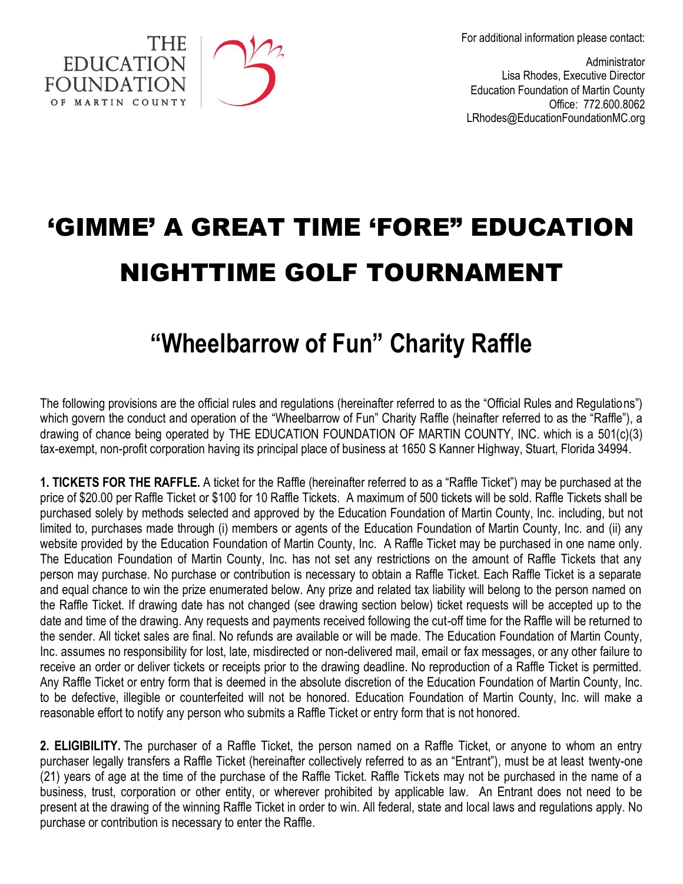For additional information please contact:

**Administrator** Lisa Rhodes, Executive Director Education Foundation of Martin County Office: 772.600.8062 LRhodes@EducationFoundationMC.org

## 'GIMME' A GREAT TIME 'FORE" EDUCATION NIGHTTIME GOLF TOURNAMENT

**EDUCATION FOUNDATION** OF MARTIN COUNTY

## **"Wheelbarrow of Fun" Charity Raffle**

The following provisions are the official rules and regulations (hereinafter referred to as the "Official Rules and Regulations") which govern the conduct and operation of the "Wheelbarrow of Fun" Charity Raffle (heinafter referred to as the "Raffle"), a drawing of chance being operated by THE EDUCATION FOUNDATION OF MARTIN COUNTY, INC. which is a 501(c)(3) tax-exempt, non-profit corporation having its principal place of business at 1650 S Kanner Highway, Stuart, Florida 34994.

**1. TICKETS FOR THE RAFFLE.** A ticket for the Raffle (hereinafter referred to as a "Raffle Ticket") may be purchased at the price of \$20.00 per Raffle Ticket or \$100 for 10 Raffle Tickets. A maximum of 500 tickets will be sold. Raffle Tickets shall be purchased solely by methods selected and approved by the Education Foundation of Martin County, Inc. including, but not limited to, purchases made through (i) members or agents of the Education Foundation of Martin County, Inc. and (ii) any website provided by the Education Foundation of Martin County, Inc. A Raffle Ticket may be purchased in one name only. The Education Foundation of Martin County, Inc. has not set any restrictions on the amount of Raffle Tickets that any person may purchase. No purchase or contribution is necessary to obtain a Raffle Ticket. Each Raffle Ticket is a separate and equal chance to win the prize enumerated below. Any prize and related tax liability will belong to the person named on the Raffle Ticket. If drawing date has not changed (see drawing section below) ticket requests will be accepted up to the date and time of the drawing. Any requests and payments received following the cut-off time for the Raffle will be returned to the sender. All ticket sales are final. No refunds are available or will be made. The Education Foundation of Martin County, Inc. assumes no responsibility for lost, late, misdirected or non-delivered mail, email or fax messages, or any other failure to receive an order or deliver tickets or receipts prior to the drawing deadline. No reproduction of a Raffle Ticket is permitted. Any Raffle Ticket or entry form that is deemed in the absolute discretion of the Education Foundation of Martin County, Inc. to be defective, illegible or counterfeited will not be honored. Education Foundation of Martin County, Inc. will make a reasonable effort to notify any person who submits a Raffle Ticket or entry form that is not honored.

**2. ELIGIBILITY.** The purchaser of a Raffle Ticket, the person named on a Raffle Ticket, or anyone to whom an entry purchaser legally transfers a Raffle Ticket (hereinafter collectively referred to as an "Entrant"), must be at least twenty-one (21) years of age at the time of the purchase of the Raffle Ticket. Raffle Tickets may not be purchased in the name of a business, trust, corporation or other entity, or wherever prohibited by applicable law. An Entrant does not need to be present at the drawing of the winning Raffle Ticket in order to win. All federal, state and local laws and regulations apply. No purchase or contribution is necessary to enter the Raffle.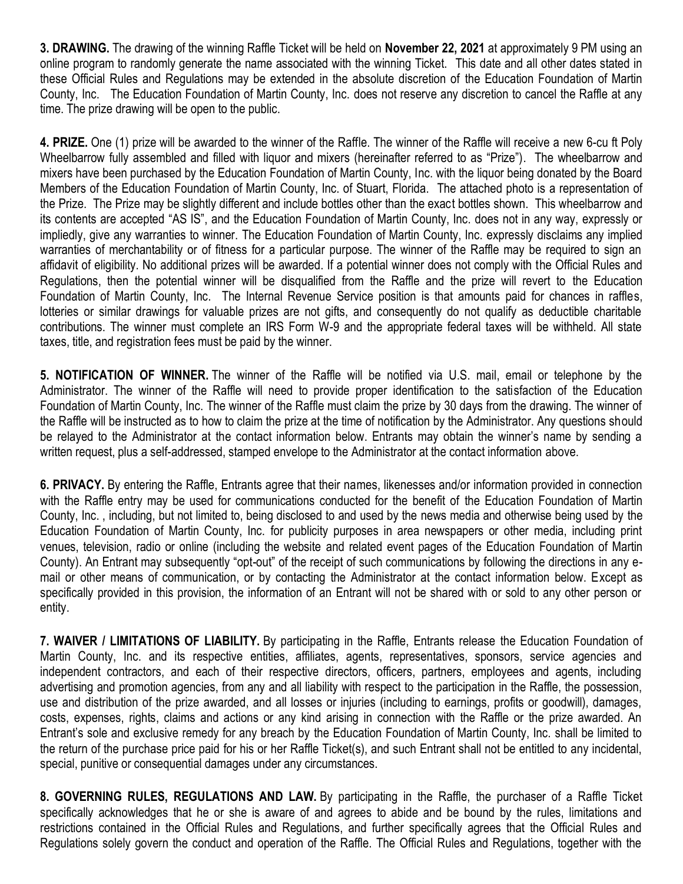**3. DRAWING.** The drawing of the winning Raffle Ticket will be held on **November 22, 2021** at approximately 9 PM using an online program to randomly generate the name associated with the winning Ticket. This date and all other dates stated in these Official Rules and Regulations may be extended in the absolute discretion of the Education Foundation of Martin County, Inc. The Education Foundation of Martin County, Inc. does not reserve any discretion to cancel the Raffle at any time. The prize drawing will be open to the public.

**4. PRIZE.** One (1) prize will be awarded to the winner of the Raffle. The winner of the Raffle will receive a new 6-cu ft Poly Wheelbarrow fully assembled and filled with liquor and mixers (hereinafter referred to as "Prize"). The wheelbarrow and mixers have been purchased by the Education Foundation of Martin County, Inc. with the liquor being donated by the Board Members of the Education Foundation of Martin County, Inc. of Stuart, Florida. The attached photo is a representation of the Prize. The Prize may be slightly different and include bottles other than the exact bottles shown. This wheelbarrow and its contents are accepted "AS IS", and the Education Foundation of Martin County, Inc. does not in any way, expressly or impliedly, give any warranties to winner. The Education Foundation of Martin County, Inc. expressly disclaims any implied warranties of merchantability or of fitness for a particular purpose. The winner of the Raffle may be required to sign an affidavit of eligibility. No additional prizes will be awarded. If a potential winner does not comply with the Official Rules and Regulations, then the potential winner will be disqualified from the Raffle and the prize will revert to the Education Foundation of Martin County, Inc. The Internal Revenue Service position is that amounts paid for chances in raffles, lotteries or similar drawings for valuable prizes are not gifts, and consequently do not qualify as deductible charitable contributions. The winner must complete an IRS Form W-9 and the appropriate federal taxes will be withheld. All state taxes, title, and registration fees must be paid by the winner.

**5. NOTIFICATION OF WINNER.** The winner of the Raffle will be notified via U.S. mail, email or telephone by the Administrator. The winner of the Raffle will need to provide proper identification to the satisfaction of the Education Foundation of Martin County, Inc. The winner of the Raffle must claim the prize by 30 days from the drawing. The winner of the Raffle will be instructed as to how to claim the prize at the time of notification by the Administrator. Any questions should be relayed to the Administrator at the contact information below. Entrants may obtain the winner's name by sending a written request, plus a self-addressed, stamped envelope to the Administrator at the contact information above.

**6. PRIVACY.** By entering the Raffle, Entrants agree that their names, likenesses and/or information provided in connection with the Raffle entry may be used for communications conducted for the benefit of the Education Foundation of Martin County, Inc. , including, but not limited to, being disclosed to and used by the news media and otherwise being used by the Education Foundation of Martin County, Inc. for publicity purposes in area newspapers or other media, including print venues, television, radio or online (including the website and related event pages of the Education Foundation of Martin County). An Entrant may subsequently "opt-out" of the receipt of such communications by following the directions in any email or other means of communication, or by contacting the Administrator at the contact information below. Except as specifically provided in this provision, the information of an Entrant will not be shared with or sold to any other person or entity.

**7. WAIVER / LIMITATIONS OF LIABILITY.** By participating in the Raffle, Entrants release the Education Foundation of Martin County, Inc. and its respective entities, affiliates, agents, representatives, sponsors, service agencies and independent contractors, and each of their respective directors, officers, partners, employees and agents, including advertising and promotion agencies, from any and all liability with respect to the participation in the Raffle, the possession, use and distribution of the prize awarded, and all losses or injuries (including to earnings, profits or goodwill), damages, costs, expenses, rights, claims and actions or any kind arising in connection with the Raffle or the prize awarded. An Entrant's sole and exclusive remedy for any breach by the Education Foundation of Martin County, Inc. shall be limited to the return of the purchase price paid for his or her Raffle Ticket(s), and such Entrant shall not be entitled to any incidental, special, punitive or consequential damages under any circumstances.

**8. GOVERNING RULES, REGULATIONS AND LAW.** By participating in the Raffle, the purchaser of a Raffle Ticket specifically acknowledges that he or she is aware of and agrees to abide and be bound by the rules, limitations and restrictions contained in the Official Rules and Regulations, and further specifically agrees that the Official Rules and Regulations solely govern the conduct and operation of the Raffle. The Official Rules and Regulations, together with the